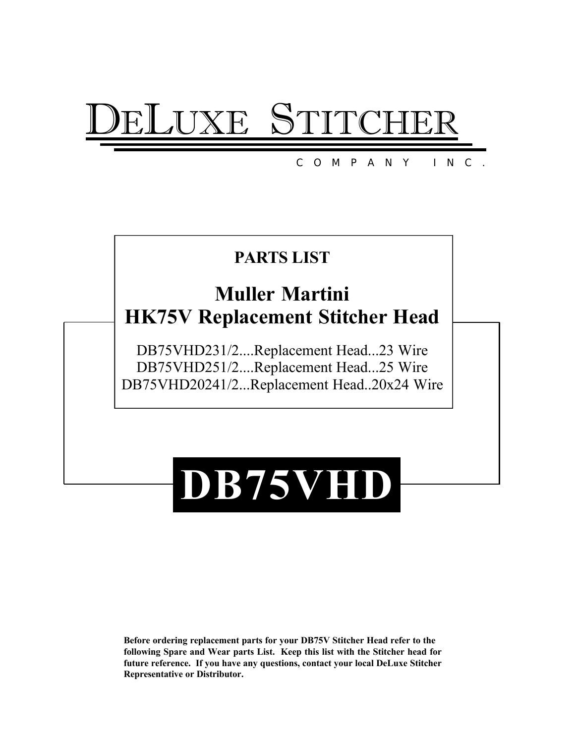# XE S'

COM PANY INC.

## **PARTS LIST**

# **Muller Martini HK75V Replacement Stitcher Head**

DB75VHD231/2....Replacement Head...23 Wire DB75VHD251/2....Replacement Head...25 Wire DB75VHD20241/2...Replacement Head..20x24 Wire

# **DB75VHD**

**Before ordering replacement parts for your DB75V Stitcher Head refer to the following Spare and Wear parts List. Keep this list with the Stitcher head for future reference. If you have any questions, contact your local DeLuxe Stitcher Representative or Distributor.**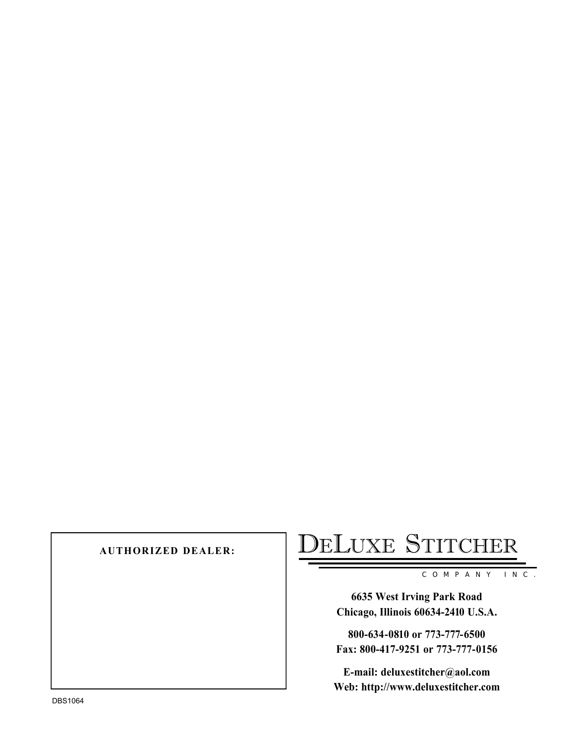# AUTHORIZED DEALER: DELUXE STITCHER

COMPANY INC.

**6635 West Irving Park Road Chicago, Illinois 60634-2410 U.S.A.**

**800-634-0810 or 773-777-6500 Fax: 800-417-9251 or 773-777-0156**

**E-mail: deluxestitcher@aol.com Web: http://www.deluxestitcher.com**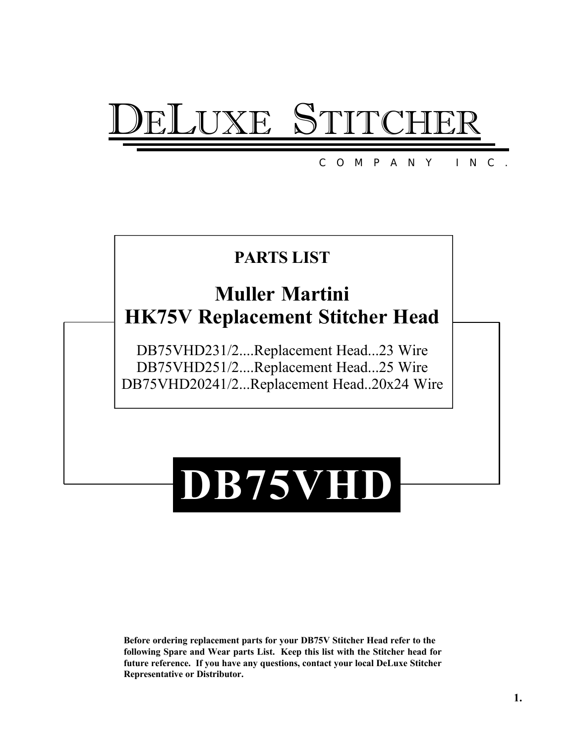# XE ST

#### COM PANY INC.

## **PARTS LIST**

# **Muller Martini HK75V Replacement Stitcher Head**

DB75VHD231/2....Replacement Head...23 Wire DB75VHD251/2....Replacement Head...25 Wire DB75VHD20241/2...Replacement Head..20x24 Wire

# **DB75VHD**

**Before ordering replacement parts for your DB75V Stitcher Head refer to the following Spare and Wear parts List. Keep this list with the Stitcher head for future reference. If you have any questions, contact your local DeLuxe Stitcher Representative or Distributor.**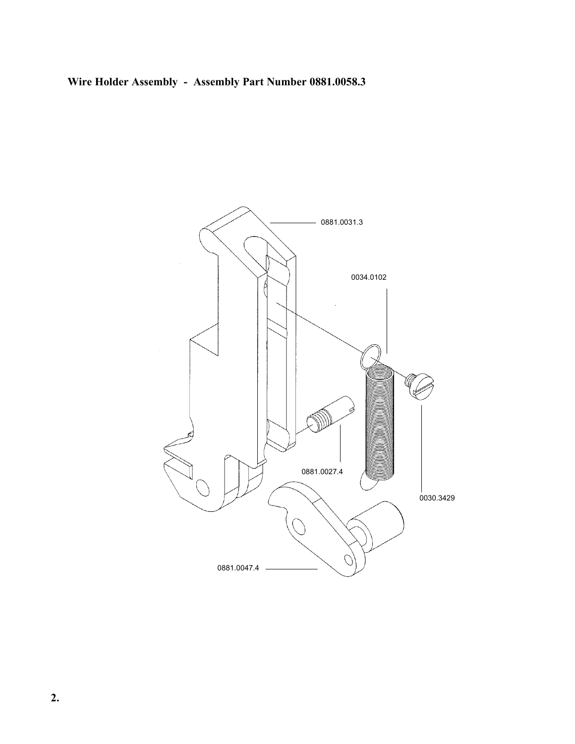### **Wire Holder Assembly - Assembly Part Number 0881.0058.3**

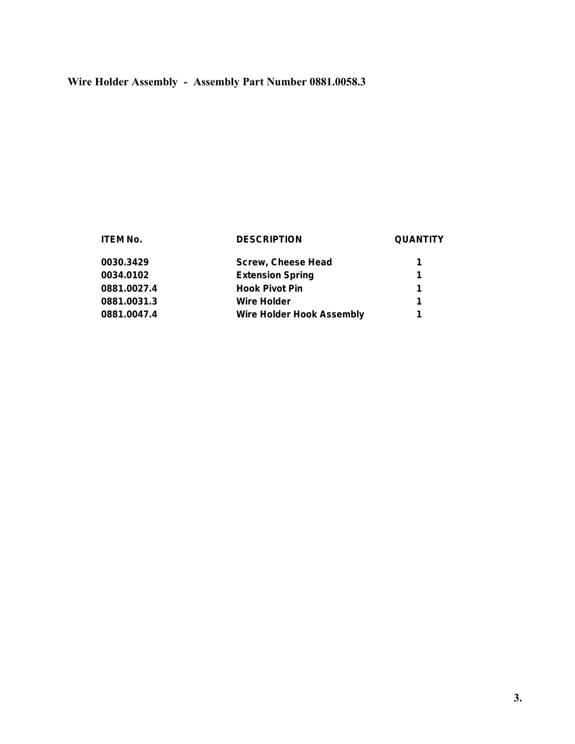#### **Wire Holder Assembly - Assembly Part Number 0881.0058.3**

#### **ITEM No. DESCRIPTION QUANTITY 0030.3429 Screw, Cheese Head 1 0034.0102 Extension Spring 1 0881.0027.4 Hook Pivot Pin 1 0881.0031.3 Wire Holder 1 0881.0047.4 Wire Holder Hook Assembly 1**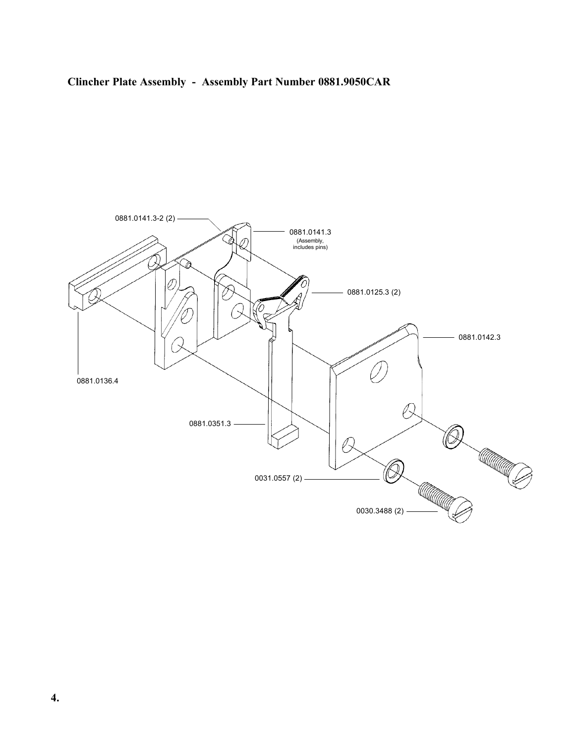#### **Clincher Plate Assembly - Assembly Part Number 0881.9050CAR**

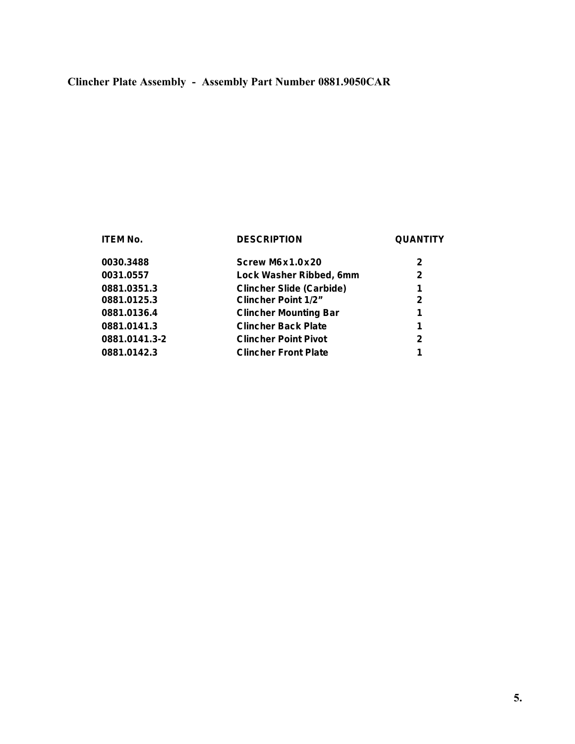### **Clincher Plate Assembly - Assembly Part Number 0881.9050CAR**

#### **ITEM No. DESCRIPTION QUANTITY**

| 0030.3488     | Screw M6x1.0x20                 | 2            |
|---------------|---------------------------------|--------------|
| 0031.0557     | Lock Washer Ribbed, 6mm         | 2            |
| 0881.0351.3   | <b>Clincher Slide (Carbide)</b> | 1            |
| 0881.0125.3   | <b>Clincher Point 1/2"</b>      | $\mathbf{2}$ |
| 0881.0136.4   | <b>Clincher Mounting Bar</b>    | 1            |
| 0881.0141.3   | <b>Clincher Back Plate</b>      | 1            |
| 0881.0141.3-2 | <b>Clincher Point Pivot</b>     | $\mathbf{2}$ |
| 0881.0142.3   | <b>Clincher Front Plate</b>     | 1            |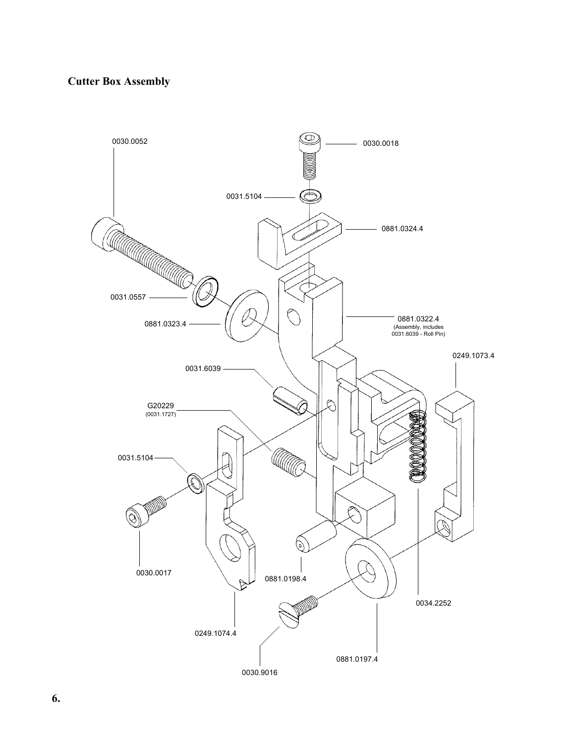#### **Cutter Box Assembly**

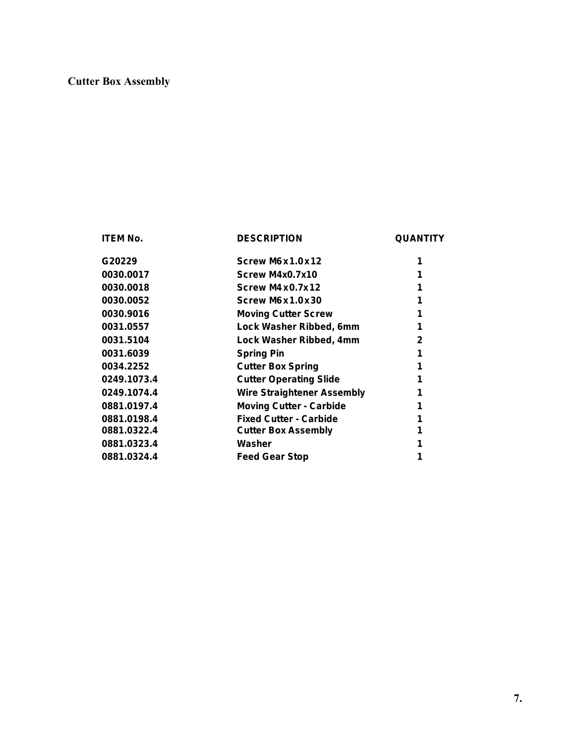#### **Cutter Box Assembly**

**ITEM No. DESCRIPTION QUANTITY**

| G20229      | Screw M6x1.0x12                   |              |
|-------------|-----------------------------------|--------------|
| 0030.0017   | Screw M4x0.7x10                   |              |
| 0030.0018   | Screw M4x0.7x12                   |              |
| 0030.0052   | Screw M6x1.0x30                   |              |
| 0030.9016   | <b>Moving Cutter Screw</b>        |              |
| 0031.0557   | Lock Washer Ribbed, 6mm           |              |
| 0031.5104   | Lock Washer Ribbed, 4mm           | $\mathbf{2}$ |
| 0031.6039   | <b>Spring Pin</b>                 |              |
| 0034.2252   | <b>Cutter Box Spring</b>          |              |
| 0249.1073.4 | <b>Cutter Operating Slide</b>     |              |
| 0249.1074.4 | <b>Wire Straightener Assembly</b> |              |
| 0881.0197.4 | <b>Moving Cutter - Carbide</b>    |              |
| 0881.0198.4 | <b>Fixed Cutter - Carbide</b>     |              |
| 0881.0322.4 | <b>Cutter Box Assembly</b>        |              |
| 0881.0323.4 | Washer                            |              |
| 0881.0324.4 | <b>Feed Gear Stop</b>             |              |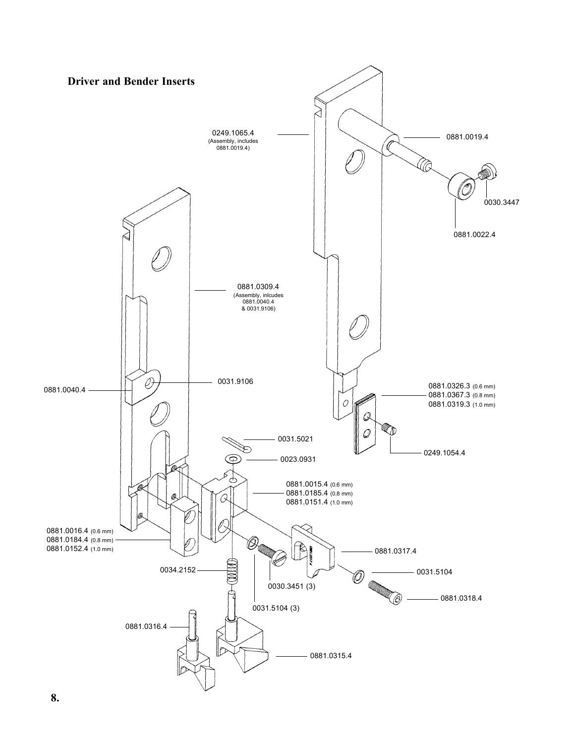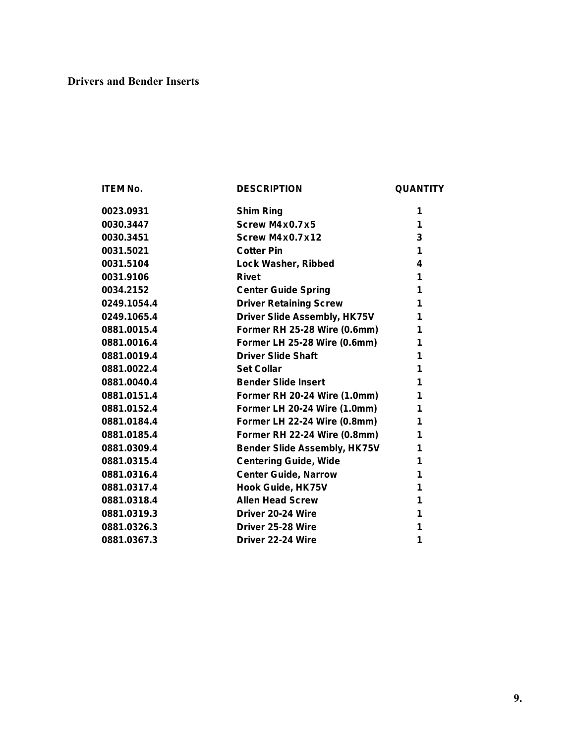#### **Drivers and Bender Inserts**

| <b>ITEM No.</b> | <b>DESCRIPTION</b>                  | <b>QUANTITY</b> |
|-----------------|-------------------------------------|-----------------|
| 0023.0931       | <b>Shim Ring</b>                    | 1               |
| 0030.3447       | Screw $M4x0.7x5$                    | 1               |
| 0030.3451       | <b>Screw M4x0.7x12</b>              | 3               |
| 0031.5021       | <b>Cotter Pin</b>                   | 1               |
| 0031.5104       | Lock Washer, Ribbed                 | 4               |
| 0031.9106       | <b>Rivet</b>                        | 1               |
| 0034.2152       | <b>Center Guide Spring</b>          | 1               |
| 0249.1054.4     | <b>Driver Retaining Screw</b>       | 1               |
| 0249.1065.4     | <b>Driver Slide Assembly, HK75V</b> | 1               |
| 0881.0015.4     | Former RH 25-28 Wire (0.6mm)        | 1               |
| 0881.0016.4     | Former LH 25-28 Wire (0.6mm)        | 1               |
| 0881.0019.4     | <b>Driver Slide Shaft</b>           | 1               |
| 0881.0022.4     | <b>Set Collar</b>                   | 1               |
| 0881.0040.4     | <b>Bender Slide Insert</b>          | 1               |
| 0881.0151.4     | Former RH 20-24 Wire (1.0mm)        | 1               |
| 0881.0152.4     | <b>Former LH 20-24 Wire (1.0mm)</b> | 1               |
| 0881.0184.4     | <b>Former LH 22-24 Wire (0.8mm)</b> | 1               |
| 0881.0185.4     | Former RH 22-24 Wire (0.8mm)        | 1               |
| 0881.0309.4     | <b>Bender Slide Assembly, HK75V</b> | 1               |
| 0881.0315.4     | <b>Centering Guide, Wide</b>        | 1               |
| 0881.0316.4     | <b>Center Guide, Narrow</b>         | 1               |
| 0881.0317.4     | Hook Guide, HK75V                   | 1               |
| 0881.0318.4     | <b>Allen Head Screw</b>             | 1               |
| 0881.0319.3     | Driver 20-24 Wire                   | 1               |
| 0881.0326.3     | Driver 25-28 Wire                   | 1               |
| 0881.0367.3     | Driver 22-24 Wire                   | 1               |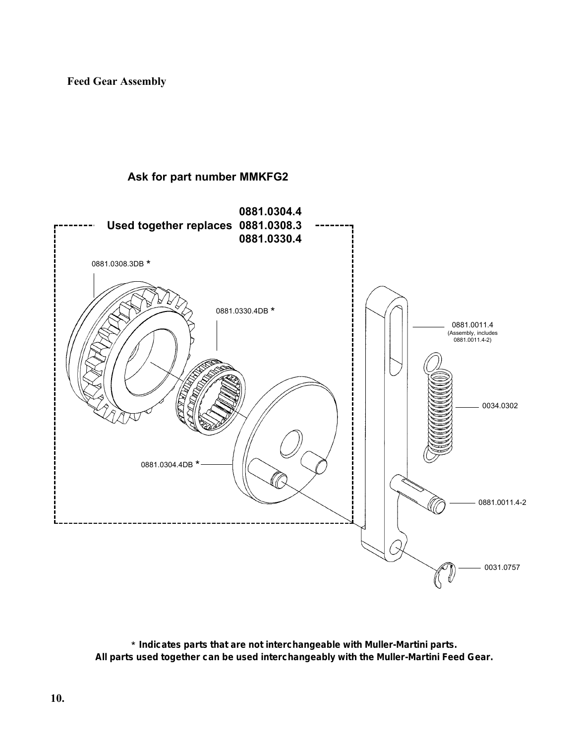**Feed Gear Assembly**

#### **Ask for part number MMKFG2**



\* **Indicates parts that are not interchangeable with Muller-Martini parts. All parts used together can be used interchangeably with the Muller-Martini Feed Gear.**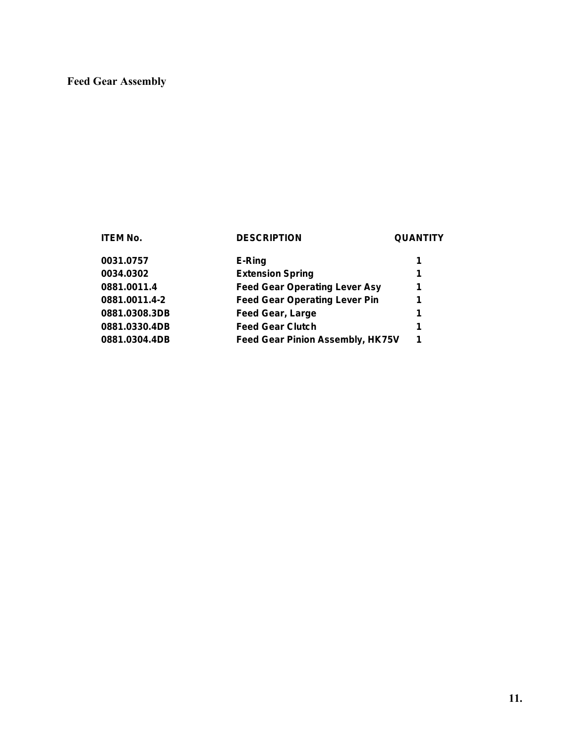#### **Feed Gear Assembly**

| ITEM No.      | <b>DESCRIPTION</b>                      | <b>QUANTITY</b> |
|---------------|-----------------------------------------|-----------------|
| 0031.0757     | E-Ring                                  | 1               |
| 0034.0302     | <b>Extension Spring</b>                 | 1               |
| 0881.0011.4   | <b>Feed Gear Operating Lever Asy</b>    | 1               |
| 0881.0011.4-2 | <b>Feed Gear Operating Lever Pin</b>    | 1               |
| 0881.0308.3DB | <b>Feed Gear, Large</b>                 | 1               |
| 0881.0330.4DB | <b>Feed Gear Clutch</b>                 | 1               |
| 0881.0304.4DB | <b>Feed Gear Pinion Assembly, HK75V</b> | 1               |
|               |                                         |                 |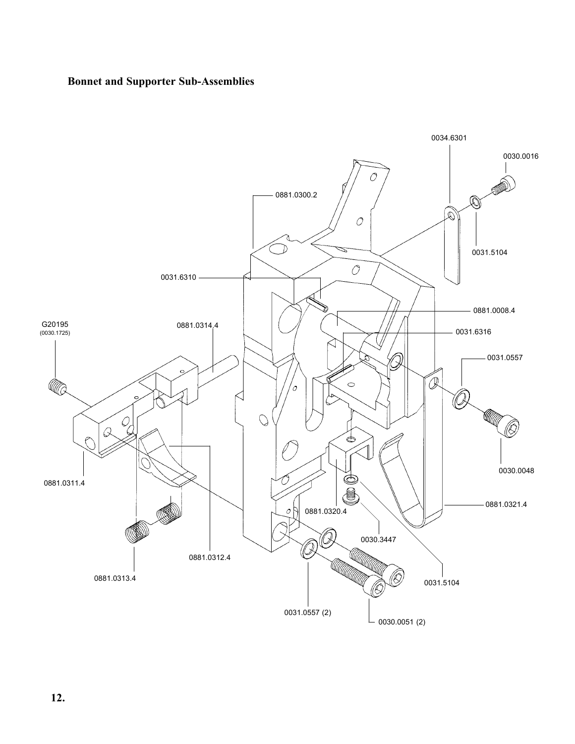#### **Bonnet and Supporter Sub-Assemblies**

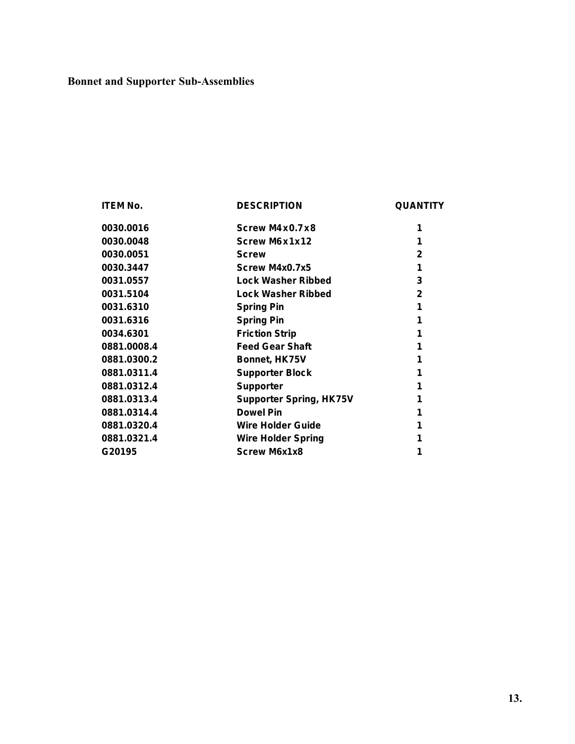### **Bonnet and Supporter Sub-Assemblies**

| <b>ITEM No.</b> | <b>DESCRIPTION</b>             | <b>QUANTITY</b> |
|-----------------|--------------------------------|-----------------|
| 0030.0016       | Screw M4x0.7x8                 | 1               |
| 0030.0048       | Screw M6x1x12                  |                 |
| 0030.0051       | <b>Screw</b>                   | $\mathbf{2}$    |
| 0030.3447       | Screw M4x0.7x5                 | 1               |
| 0031.0557       | Lock Washer Ribbed             | 3               |
| 0031.5104       | <b>Lock Washer Ribbed</b>      | $\mathbf{2}$    |
| 0031.6310       | <b>Spring Pin</b>              | 1               |
| 0031.6316       | <b>Spring Pin</b>              | 1               |
| 0034.6301       | <b>Friction Strip</b>          | 1               |
| 0881.0008.4     | <b>Feed Gear Shaft</b>         |                 |
| 0881.0300.2     | Bonnet, HK75V                  | 1               |
| 0881.0311.4     | <b>Supporter Block</b>         |                 |
| 0881.0312.4     | <b>Supporter</b>               |                 |
| 0881.0313.4     | <b>Supporter Spring, HK75V</b> |                 |
| 0881.0314.4     | <b>Dowel Pin</b>               |                 |
| 0881.0320.4     | Wire Holder Guide              |                 |
| 0881.0321.4     | <b>Wire Holder Spring</b>      |                 |
| G20195          | <b>Screw M6x1x8</b>            | 1               |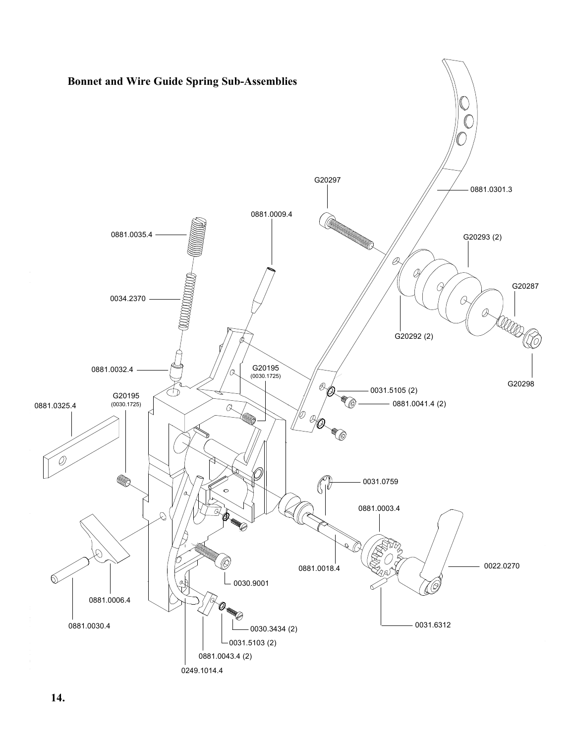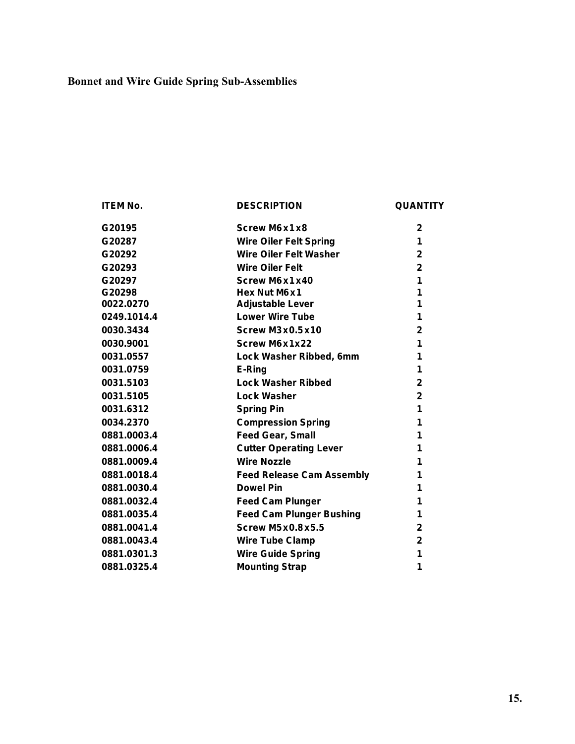### **Bonnet and Wire Guide Spring Sub-Assemblies**

| <b>ITEM No.</b> | <b>DESCRIPTION</b>               | <b>QUANTITY</b> |
|-----------------|----------------------------------|-----------------|
| G20195          | Screw M6x1x8                     | $\overline{2}$  |
| G20287          | <b>Wire Oiler Felt Spring</b>    | 1               |
| G20292          | <b>Wire Oiler Felt Washer</b>    | $\mathbf{2}$    |
| G20293          | <b>Wire Oiler Felt</b>           | $\mathbf{2}$    |
| G20297          | Screw M6x1x40                    | 1               |
| G20298          | Hex Nut M6 x 1                   | 1               |
| 0022.0270       | <b>Adjustable Lever</b>          | 1               |
| 0249.1014.4     | <b>Lower Wire Tube</b>           | 1               |
| 0030.3434       | <b>Screw M3x0.5x10</b>           | $\mathbf{2}$    |
| 0030.9001       | <b>Screw M6x1x22</b>             | 1               |
| 0031.0557       | Lock Washer Ribbed, 6mm          | 1               |
| 0031.0759       | E-Ring                           | 1               |
| 0031.5103       | <b>Lock Washer Ribbed</b>        | $\mathbf{2}$    |
| 0031.5105       | <b>Lock Washer</b>               | $\mathbf{2}$    |
| 0031.6312       | <b>Spring Pin</b>                | 1               |
| 0034.2370       | <b>Compression Spring</b>        | 1               |
| 0881.0003.4     | <b>Feed Gear, Small</b>          | 1               |
| 0881.0006.4     | <b>Cutter Operating Lever</b>    | 1               |
| 0881.0009.4     | <b>Wire Nozzle</b>               | 1               |
| 0881.0018.4     | <b>Feed Release Cam Assembly</b> | 1               |
| 0881.0030.4     | <b>Dowel Pin</b>                 | 1               |
| 0881.0032.4     | <b>Feed Cam Plunger</b>          | 1               |
| 0881.0035.4     | <b>Feed Cam Plunger Bushing</b>  | 1               |
| 0881.0041.4     | <b>Screw M5x0.8x5.5</b>          | $\mathbf{2}$    |
| 0881.0043.4     | <b>Wire Tube Clamp</b>           | $\mathbf{2}$    |
| 0881.0301.3     | <b>Wire Guide Spring</b>         | 1               |
| 0881.0325.4     | <b>Mounting Strap</b>            | 1               |